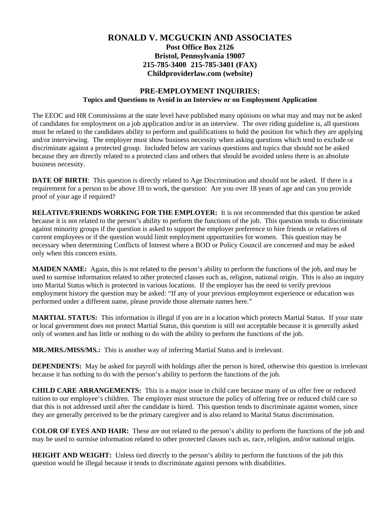## **RONALD V. MCGUCKIN AND ASSOCIATES Post Office Box 2126 Bristol, Pennsylvania 19007 215-785-3400 215-785-3401 (FAX) Childproviderlaw.com (website)**

## **PRE-EMPLOYMENT INQUIRIES: Topics and Questions to Avoid in an Interview or on Employment Application**

The EEOC and HR Commissions at the state level have published many opinions on what may and may not be asked of candidates for employment on a job application and/or in an interview. The over riding guideline is, all questions must be related to the candidates ability to perform and qualifications to hold the position for which they are applying and/or interviewing. The employer must show business necessity when asking questions which tend to exclude or discriminate against a protected group. Included below are various questions and topics that should not be asked because they are directly related to a protected class and others that should be avoided unless there is an absolute business necessity.

**DATE OF BIRTH:** This question is directly related to Age Discrimination and should not be asked. If there is a requirement for a person to be above 18 to work, the question: Are you over 18 years of age and can you provide proof of your age if required?

**RELATIVE/FRIENDS WORKING FOR THE EMPLOYER:** It is not recommended that this question be asked because it is not related to the person's ability to perform the functions of the job. This question tends to discriminate against minority groups if the question is asked to support the employer preference to hire friends or relatives of current employees or if the question would limit employment opportunities for women. This question may be necessary when determining Conflicts of Interest where a BOD or Policy Council are concerned and may be asked only when this concern exists.

**MAIDEN NAME:** Again, this is not related to the person's ability to perform the functions of the job, and may be used to surmise information related to other protected classes such as, religion, national origin. This is also an inquiry into Marital Status which is protected in various locations. If the employer has the need to verify previous employment history the question may be asked: "If any of your previous employment experience or education was performed under a different name, please provide those alternate names here."

**MARTIAL STATUS:** This information is illegal if you are in a location which protects Martial Status. If your state or local government does not protect Martial Status, this question is still not acceptable because it is generally asked only of women and has little or nothing to do with the ability to perform the functions of the job.

**MR./MRS./MISS/MS.:** This is another way of inferring Martial Status and is irrelevant.

**DEPENDENTS:** May be asked for payroll with holdings after the person is hired, otherwise this question is irrelevant because it has nothing to do with the person's ability to perform the functions of the job.

**CHILD CARE ARRANGEMENTS:** This is a major issue in child care because many of us offer free or reduced tuition to our employee's children. The employer must structure the policy of offering free or reduced child care so that this is not addressed until after the candidate is hired. This question tends to discriminate against women, since they are generally perceived to be the primary caregiver and is also related to Marital Status discrimination.

**COLOR OF EYES AND HAIR:** These are not related to the person's ability to perform the functions of the job and may be used to surmise information related to other protected classes such as, race, religion, and/or national origin.

**HEIGHT AND WEIGHT:** Unless tied directly to the person's ability to perform the functions of the job this question would be illegal because it tends to discriminate against persons with disabilities.